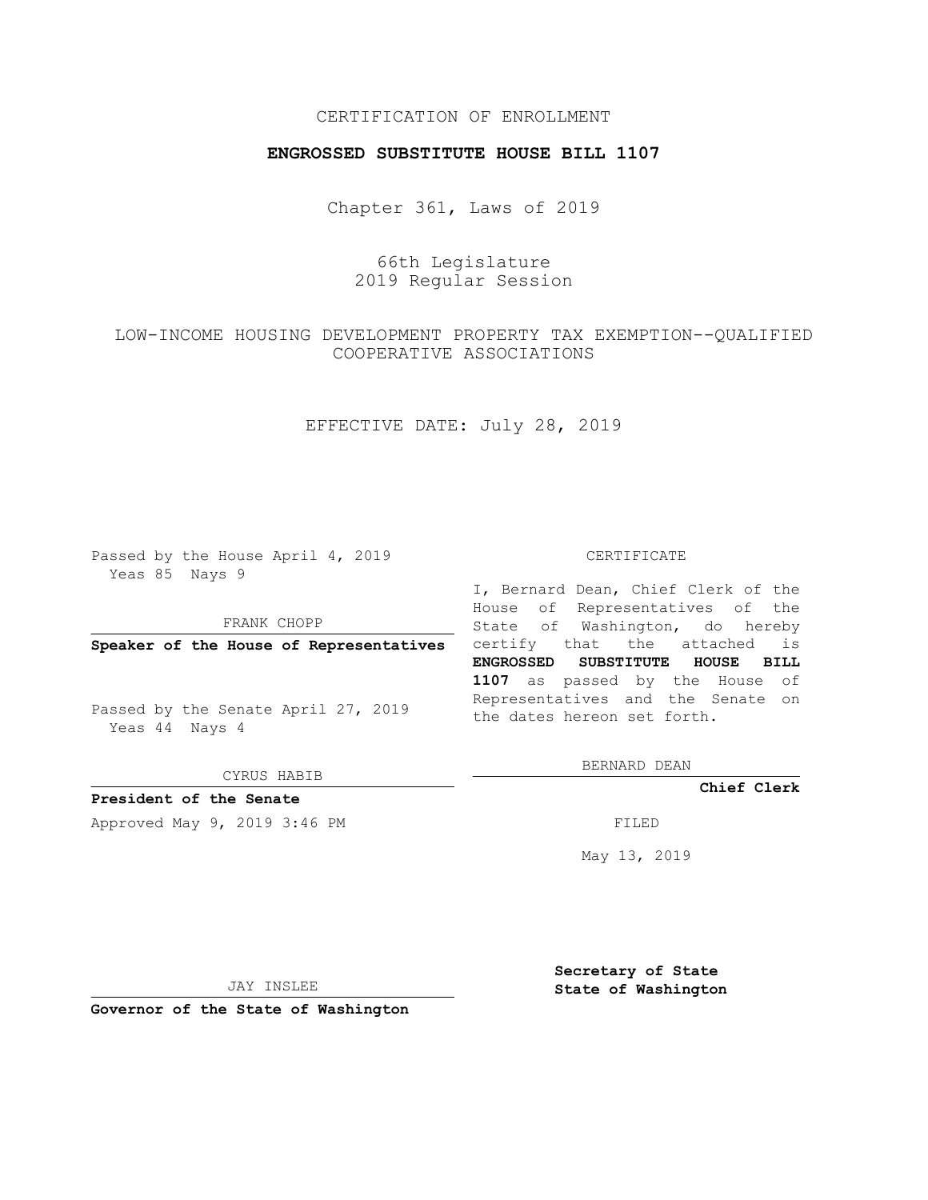### CERTIFICATION OF ENROLLMENT

#### **ENGROSSED SUBSTITUTE HOUSE BILL 1107**

Chapter 361, Laws of 2019

# 66th Legislature 2019 Regular Session

# LOW-INCOME HOUSING DEVELOPMENT PROPERTY TAX EXEMPTION--QUALIFIED COOPERATIVE ASSOCIATIONS

## EFFECTIVE DATE: July 28, 2019

Passed by the House April 4, 2019 Yeas 85 Nays 9

#### FRANK CHOPP

Passed by the Senate April 27, 2019 Yeas 44 Nays 4

CYRUS HABIB

# **President of the Senate**

Approved May 9, 2019 3:46 PM

#### CERTIFICATE

**Speaker of the House of Representatives** certify that the attached is I, Bernard Dean, Chief Clerk of the House of Representatives of the State of Washington, do hereby **ENGROSSED SUBSTITUTE HOUSE BILL 1107** as passed by the House of Representatives and the Senate on the dates hereon set forth.

BERNARD DEAN

**Chief Clerk**

May 13, 2019

JAY INSLEE

**Governor of the State of Washington**

**Secretary of State State of Washington**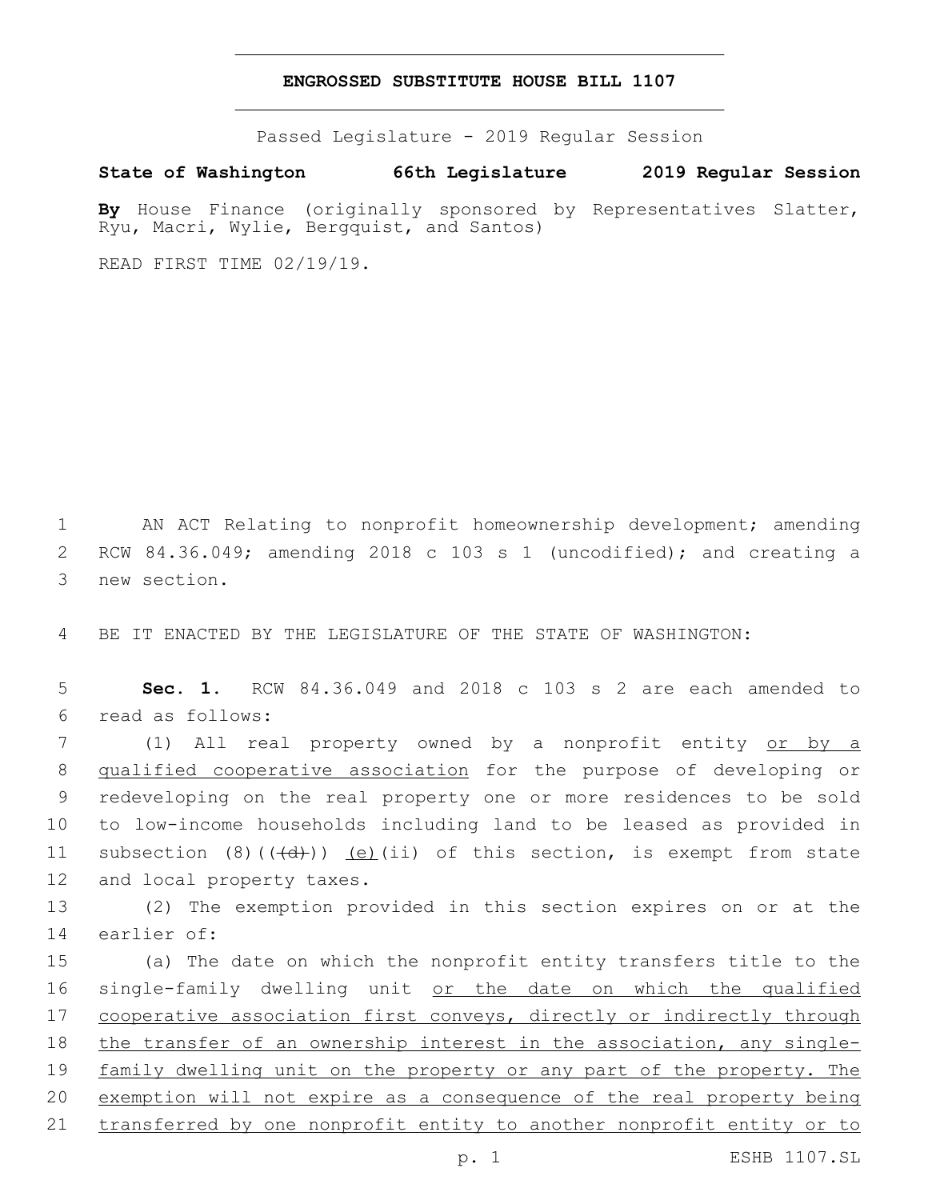#### **ENGROSSED SUBSTITUTE HOUSE BILL 1107**

Passed Legislature - 2019 Regular Session

**State of Washington 66th Legislature 2019 Regular Session**

By House Finance (originally sponsored by Representatives Slatter, Ryu, Macri, Wylie, Bergquist, and Santos)

READ FIRST TIME 02/19/19.

1 AN ACT Relating to nonprofit homeownership development; amending 2 RCW 84.36.049; amending 2018 c 103 s 1 (uncodified); and creating a 3 new section.

4 BE IT ENACTED BY THE LEGISLATURE OF THE STATE OF WASHINGTON:

5 **Sec. 1.** RCW 84.36.049 and 2018 c 103 s 2 are each amended to read as follows:6

 (1) All real property owned by a nonprofit entity or by a qualified cooperative association for the purpose of developing or redeveloping on the real property one or more residences to be sold to low-income households including land to be leased as provided in 11 subsection  $(8)$   $((\text{+d})')$   $(e)$  (ii) of this section, is exempt from state 12 and local property taxes.

13 (2) The exemption provided in this section expires on or at the 14 earlier of:

15 (a) The date on which the nonprofit entity transfers title to the 16 single-family dwelling unit or the date on which the qualified 17 cooperative association first conveys, directly or indirectly through 18 the transfer of an ownership interest in the association, any single-19 family dwelling unit on the property or any part of the property. The 20 exemption will not expire as a consequence of the real property being 21 transferred by one nonprofit entity to another nonprofit entity or to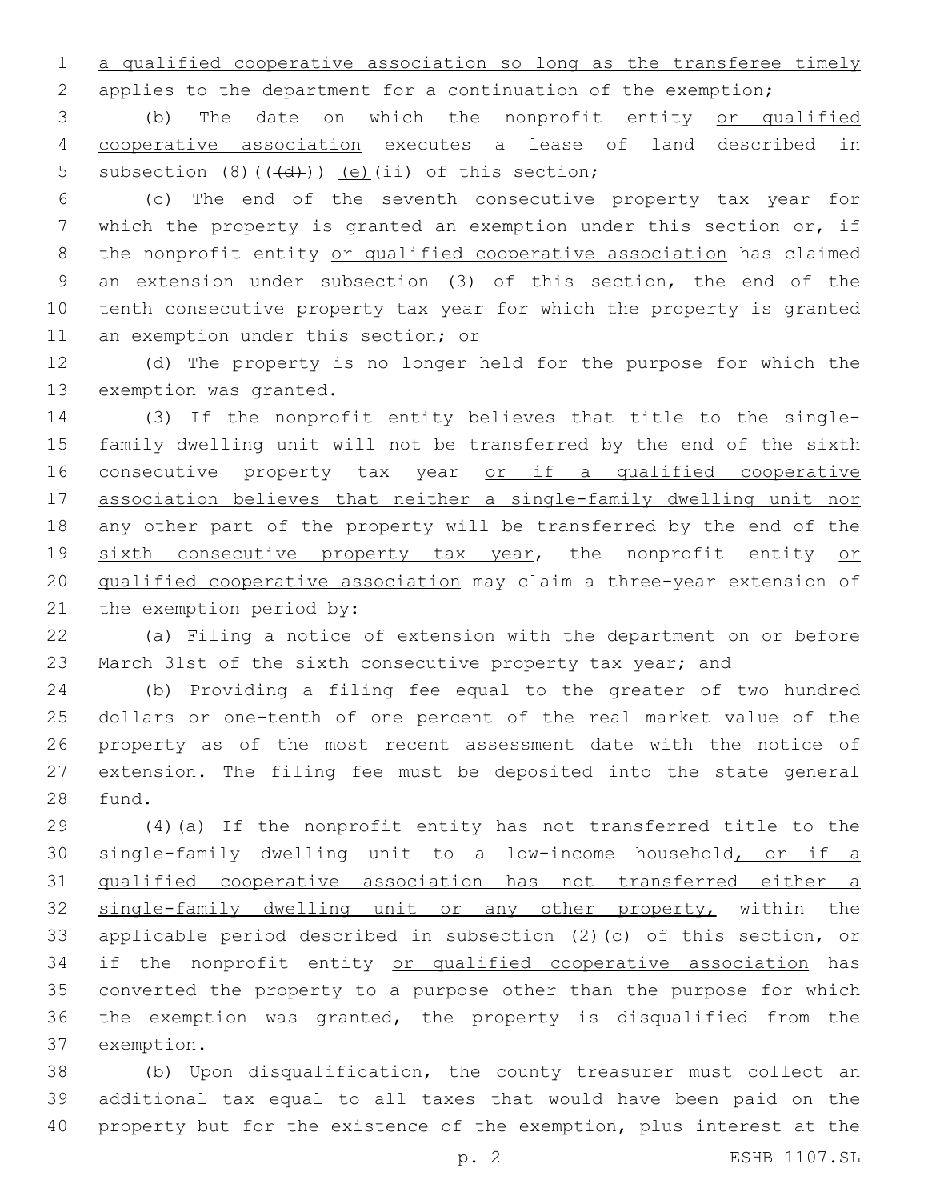1 a qualified cooperative association so long as the transferee timely

applies to the department for a continuation of the exemption;

 (b) The date on which the nonprofit entity or qualified cooperative association executes a lease of land described in 5 subsection  $(8)$   $((\overline{d}))$   $(e)$   $(ii)$  of this section;

 (c) The end of the seventh consecutive property tax year for which the property is granted an exemption under this section or, if 8 the nonprofit entity or qualified cooperative association has claimed an extension under subsection (3) of this section, the end of the tenth consecutive property tax year for which the property is granted 11 an exemption under this section; or

 (d) The property is no longer held for the purpose for which the 13 exemption was granted.

 (3) If the nonprofit entity believes that title to the single- family dwelling unit will not be transferred by the end of the sixth 16 consecutive property tax year or if a qualified cooperative association believes that neither a single-family dwelling unit nor any other part of the property will be transferred by the end of the 19 sixth consecutive property tax year, the nonprofit entity or qualified cooperative association may claim a three-year extension of 21 the exemption period by:

 (a) Filing a notice of extension with the department on or before March 31st of the sixth consecutive property tax year; and

 (b) Providing a filing fee equal to the greater of two hundred dollars or one-tenth of one percent of the real market value of the property as of the most recent assessment date with the notice of extension. The filing fee must be deposited into the state general 28 fund.

 (4)(a) If the nonprofit entity has not transferred title to the single-family dwelling unit to a low-income household, or if a qualified cooperative association has not transferred either a single-family dwelling unit or any other property, within the applicable period described in subsection (2)(c) of this section, or 34 if the nonprofit entity or qualified cooperative association has converted the property to a purpose other than the purpose for which the exemption was granted, the property is disqualified from the 37 exemption.

 (b) Upon disqualification, the county treasurer must collect an additional tax equal to all taxes that would have been paid on the property but for the existence of the exemption, plus interest at the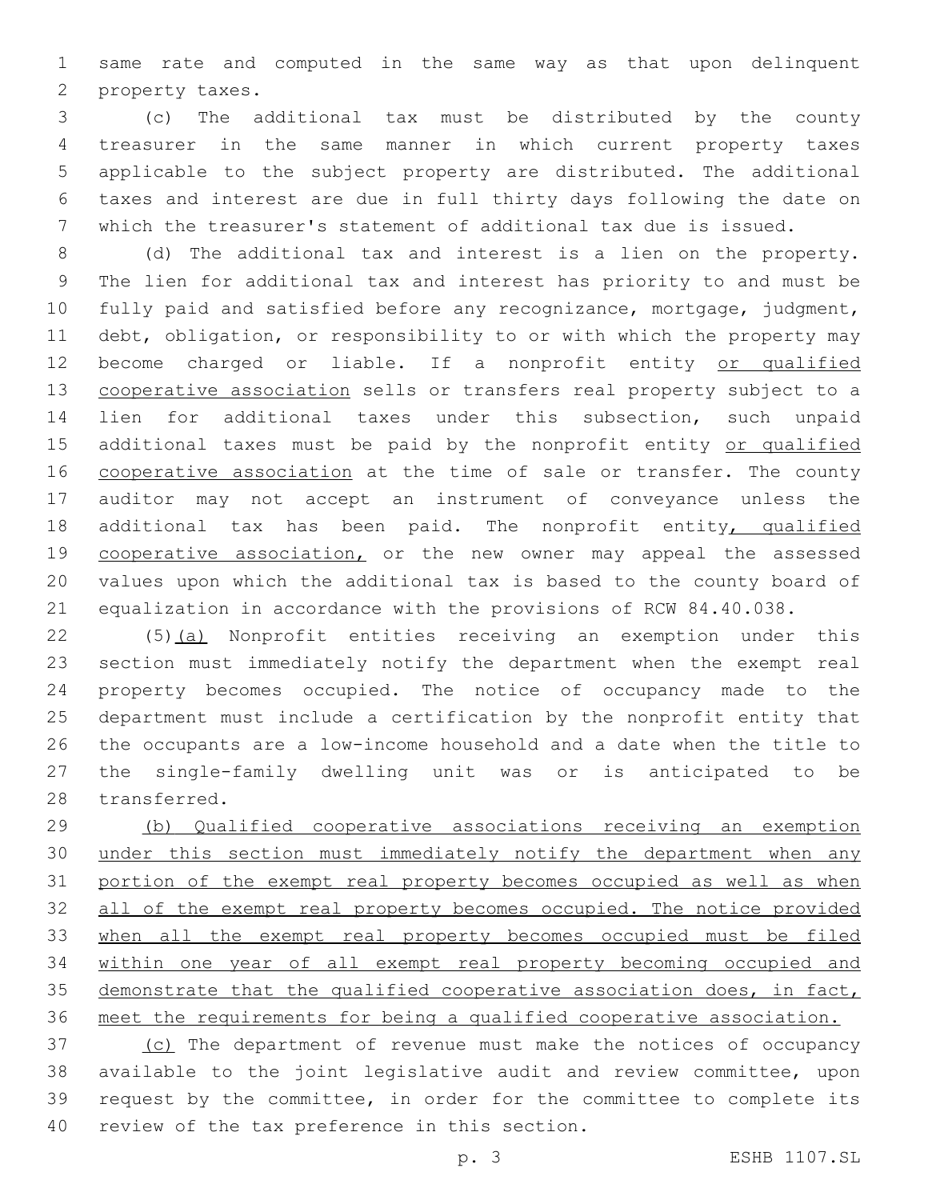same rate and computed in the same way as that upon delinquent 2 property taxes.

 (c) The additional tax must be distributed by the county treasurer in the same manner in which current property taxes applicable to the subject property are distributed. The additional taxes and interest are due in full thirty days following the date on which the treasurer's statement of additional tax due is issued.

 (d) The additional tax and interest is a lien on the property. The lien for additional tax and interest has priority to and must be fully paid and satisfied before any recognizance, mortgage, judgment, debt, obligation, or responsibility to or with which the property may 12 become charged or liable. If a nonprofit entity or qualified cooperative association sells or transfers real property subject to a lien for additional taxes under this subsection, such unpaid 15 additional taxes must be paid by the nonprofit entity or qualified 16 cooperative association at the time of sale or transfer. The county auditor may not accept an instrument of conveyance unless the 18 additional tax has been paid. The nonprofit entity, qualified 19 cooperative association, or the new owner may appeal the assessed values upon which the additional tax is based to the county board of equalization in accordance with the provisions of RCW 84.40.038.

 (5)(a) Nonprofit entities receiving an exemption under this section must immediately notify the department when the exempt real property becomes occupied. The notice of occupancy made to the department must include a certification by the nonprofit entity that the occupants are a low-income household and a date when the title to the single-family dwelling unit was or is anticipated to be 28 transferred.

 (b) Qualified cooperative associations receiving an exemption 30 under this section must immediately notify the department when any portion of the exempt real property becomes occupied as well as when all of the exempt real property becomes occupied. The notice provided when all the exempt real property becomes occupied must be filed within one year of all exempt real property becoming occupied and demonstrate that the qualified cooperative association does, in fact, meet the requirements for being a qualified cooperative association.

 (c) The department of revenue must make the notices of occupancy available to the joint legislative audit and review committee, upon request by the committee, in order for the committee to complete its 40 review of the tax preference in this section.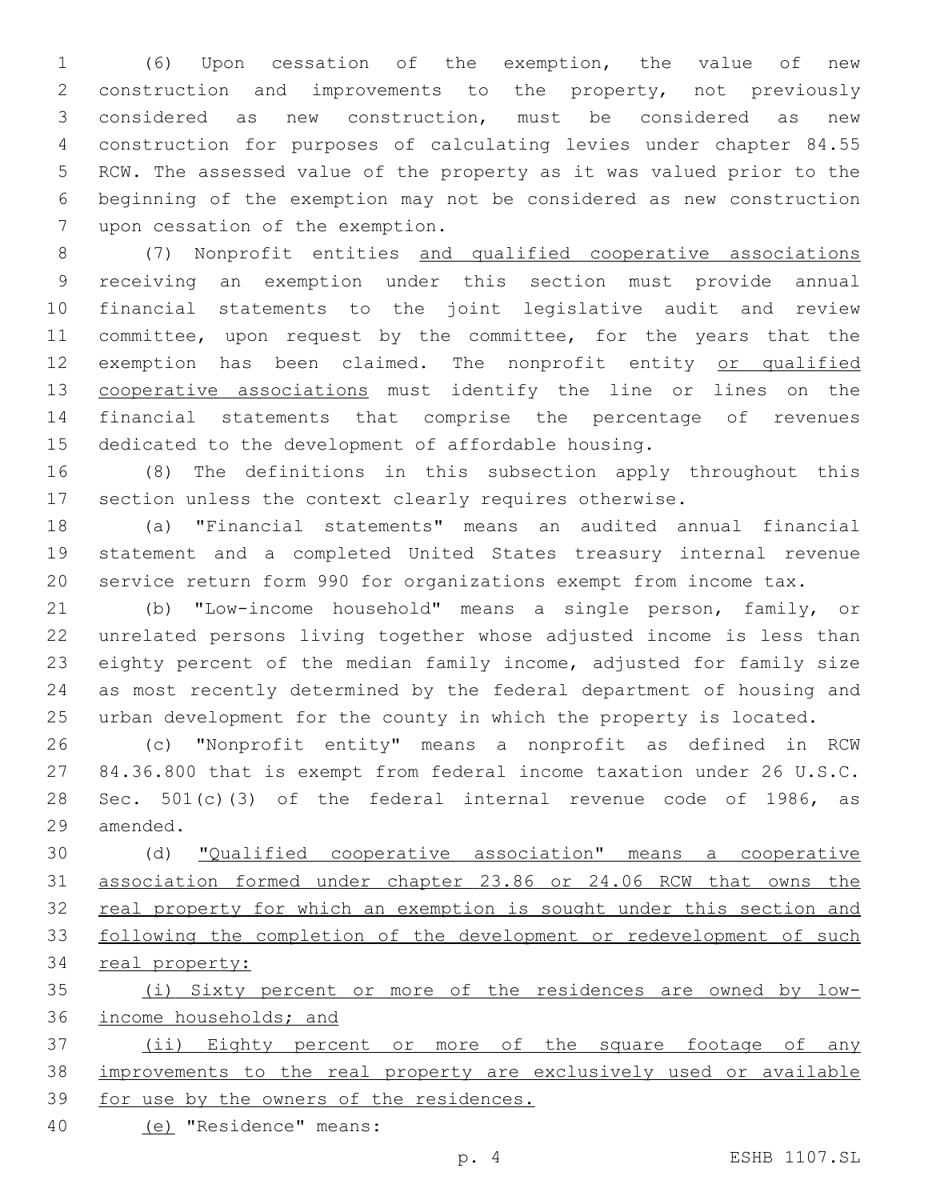(6) Upon cessation of the exemption, the value of new construction and improvements to the property, not previously considered as new construction, must be considered as new construction for purposes of calculating levies under chapter 84.55 RCW. The assessed value of the property as it was valued prior to the beginning of the exemption may not be considered as new construction 7 upon cessation of the exemption.

 (7) Nonprofit entities and qualified cooperative associations receiving an exemption under this section must provide annual financial statements to the joint legislative audit and review 11 committee, upon request by the committee, for the years that the 12 exemption has been claimed. The nonprofit entity or qualified 13 cooperative associations must identify the line or lines on the financial statements that comprise the percentage of revenues dedicated to the development of affordable housing.

 (8) The definitions in this subsection apply throughout this section unless the context clearly requires otherwise.

 (a) "Financial statements" means an audited annual financial statement and a completed United States treasury internal revenue service return form 990 for organizations exempt from income tax.

 (b) "Low-income household" means a single person, family, or unrelated persons living together whose adjusted income is less than eighty percent of the median family income, adjusted for family size as most recently determined by the federal department of housing and urban development for the county in which the property is located.

 (c) "Nonprofit entity" means a nonprofit as defined in RCW 84.36.800 that is exempt from federal income taxation under 26 U.S.C. Sec. 501(c)(3) of the federal internal revenue code of 1986, as 29 amended.

 (d) "Qualified cooperative association" means a cooperative association formed under chapter 23.86 or 24.06 RCW that owns the 32 real property for which an exemption is sought under this section and following the completion of the development or redevelopment of such 34 real property:

 (i) Sixty percent or more of the residences are owned by low-income households; and

 (ii) Eighty percent or more of the square footage of any improvements to the real property are exclusively used or available 39 for use by the owners of the residences.

(e) "Residence" means:40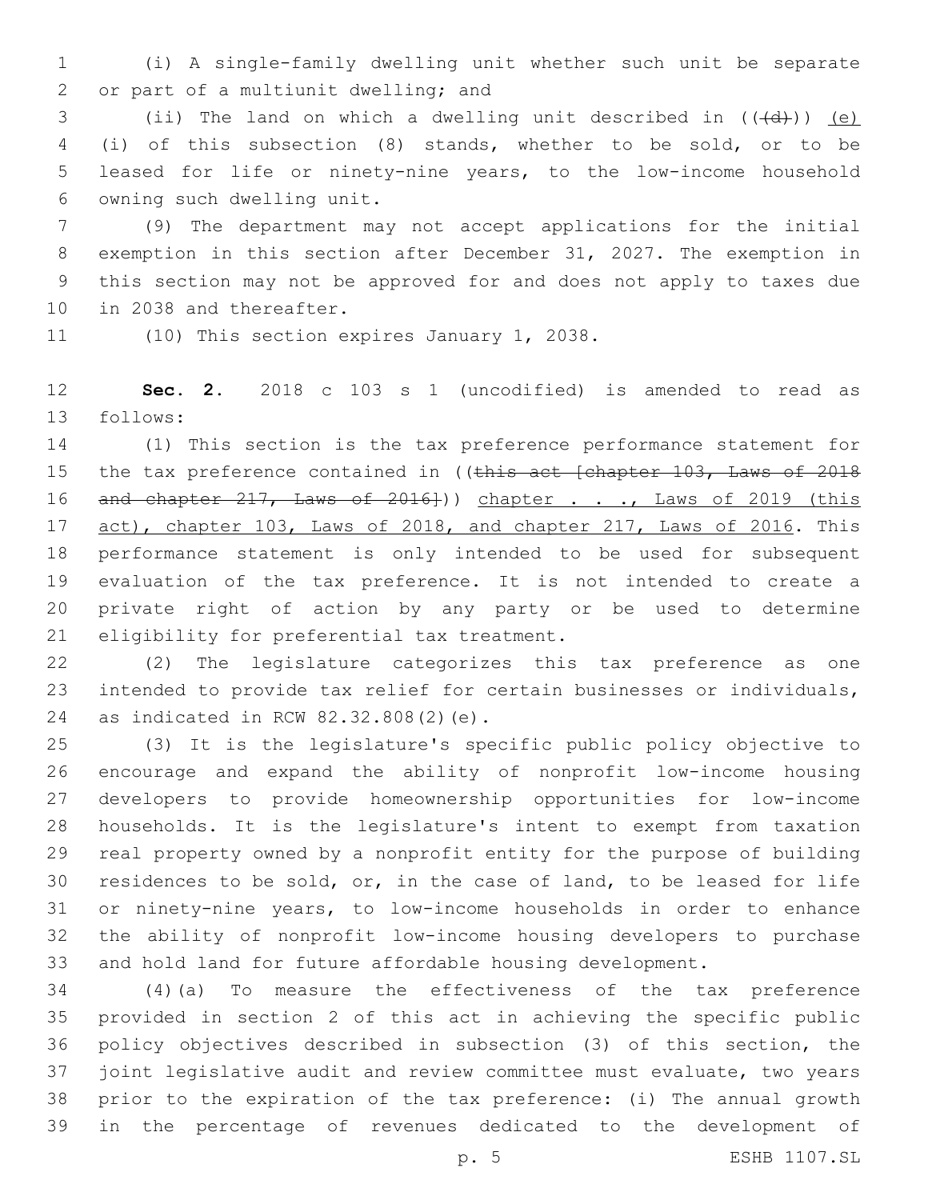(i) A single-family dwelling unit whether such unit be separate 2 or part of a multiunit dwelling; and

3 (ii) The land on which a dwelling unit described in  $((\{d\}) )$  (e) (i) of this subsection (8) stands, whether to be sold, or to be leased for life or ninety-nine years, to the low-income household 6 owning such dwelling unit.

 (9) The department may not accept applications for the initial exemption in this section after December 31, 2027. The exemption in this section may not be approved for and does not apply to taxes due 10 in 2038 and thereafter.

11 (10) This section expires January 1, 2038.

 **Sec. 2.** 2018 c 103 s 1 (uncodified) is amended to read as 13 follows:

 (1) This section is the tax preference performance statement for 15 the tax preference contained in ((this act [chapter 103, Laws of 2018 16 and chapter 217, Laws of 2016])) chapter . . ., Laws of 2019 (this act), chapter 103, Laws of 2018, and chapter 217, Laws of 2016. This performance statement is only intended to be used for subsequent evaluation of the tax preference. It is not intended to create a private right of action by any party or be used to determine 21 eligibility for preferential tax treatment.

 (2) The legislature categorizes this tax preference as one intended to provide tax relief for certain businesses or individuals, 24 as indicated in RCW 82.32.808(2)(e).

 (3) It is the legislature's specific public policy objective to encourage and expand the ability of nonprofit low-income housing developers to provide homeownership opportunities for low-income households. It is the legislature's intent to exempt from taxation real property owned by a nonprofit entity for the purpose of building residences to be sold, or, in the case of land, to be leased for life or ninety-nine years, to low-income households in order to enhance the ability of nonprofit low-income housing developers to purchase and hold land for future affordable housing development.

 (4)(a) To measure the effectiveness of the tax preference provided in section 2 of this act in achieving the specific public policy objectives described in subsection (3) of this section, the joint legislative audit and review committee must evaluate, two years prior to the expiration of the tax preference: (i) The annual growth in the percentage of revenues dedicated to the development of